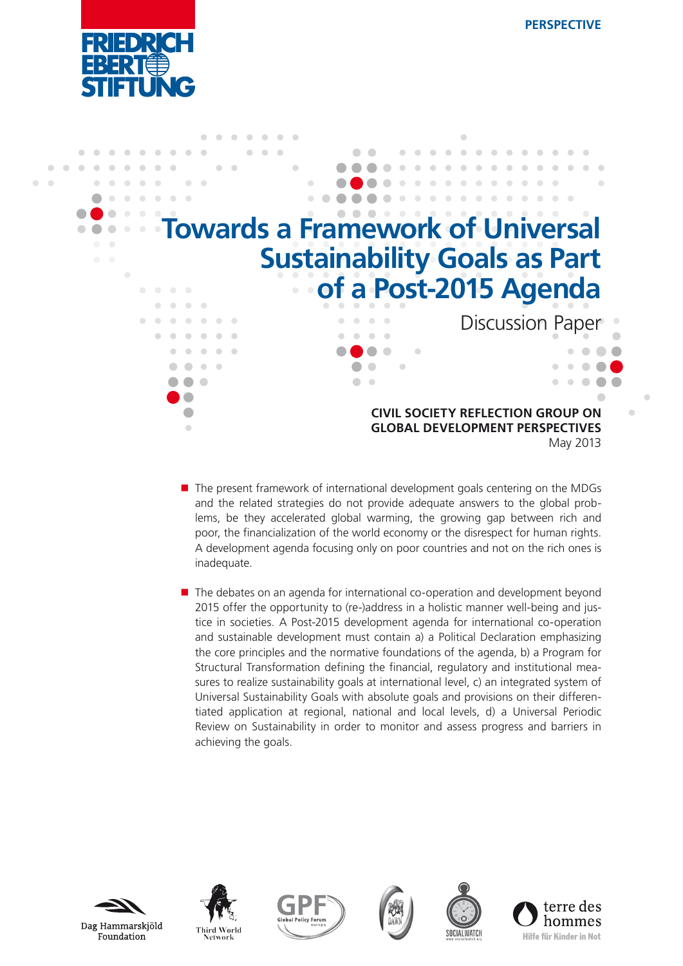



- $\blacksquare$  The present framework of international development goals centering on the MDGs and the related strategies do not provide adequate answers to the global problems, be they accelerated global warming, the growing gap between rich and poor, the financialization of the world economy or the disrespect for human rights. A development agenda focusing only on poor countries and not on the rich ones is inadequate.
- The debates on an agenda for international co-operation and development beyond 2015 offer the opportunity to (re-)address in a holistic manner well-being and justice in societies. A Post-2015 development agenda for international co-operation and sustainable development must contain a) a Political Declaration emphasizing the core principles and the normative foundations of the agenda, b) a Program for Structural Transformation defining the financial, regulatory and institutional measures to realize sustainability goals at international level, c) an integrated system of Universal Sustainability Goals with absolute goals and provisions on their differentiated application at regional, national and local levels, d) a Universal Periodic Review on Sustainability in order to monitor and assess progress and barriers in achieving the goals.











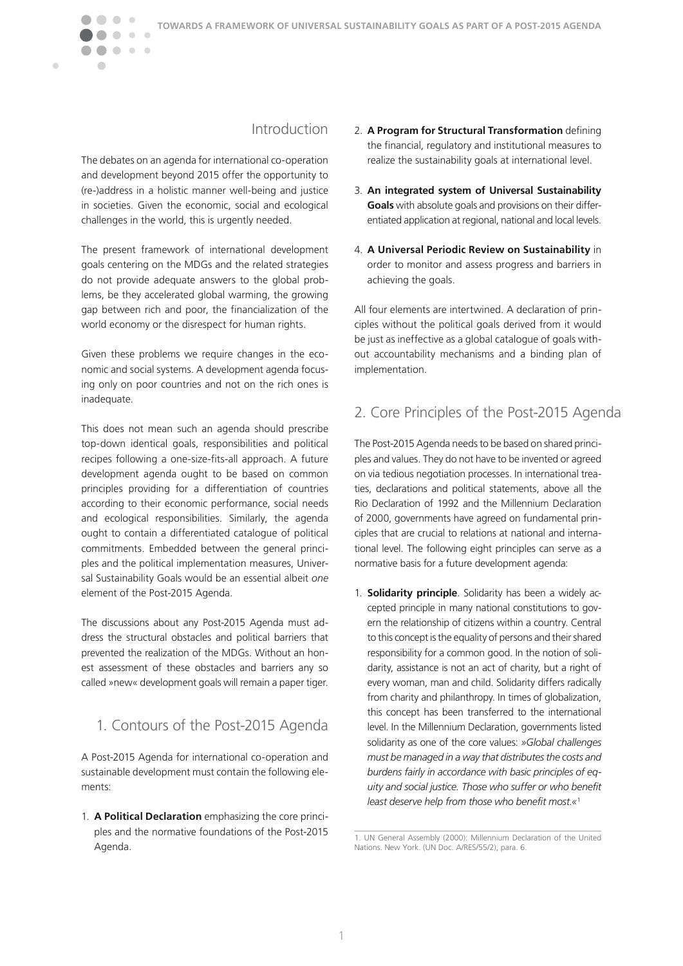## Introduction

The debates on an agenda for international co-operation and development beyond 2015 offer the opportunity to (re-)address in a holistic manner well-being and justice in societies. Given the economic, social and ecological challenges in the world, this is urgently needed.

 $\bullet\bullet$ 

 $\sqrt{2}$ 

 $\blacksquare$ 

 $\bullet\hspace{0.1cm} \bullet\hspace{0.1cm}\bullet\hspace{0.1cm} \bullet$ 

The present framework of international development goals centering on the MDGs and the related strategies do not provide adequate answers to the global problems, be they accelerated global warming, the growing gap between rich and poor, the financialization of the world economy or the disrespect for human rights.

Given these problems we require changes in the economic and social systems. A development agenda focusing only on poor countries and not on the rich ones is inadequate.

This does not mean such an agenda should prescribe top-down identical goals, responsibilities and political recipes following a one-size-fits-all approach. A future development agenda ought to be based on common principles providing for a differentiation of countries according to their economic performance, social needs and ecological responsibilities. Similarly, the agenda ought to contain a differentiated catalogue of political commitments. Embedded between the general principles and the political implementation measures, Universal Sustainability Goals would be an essential albeit *one* element of the Post-2015 Agenda.

The discussions about any Post-2015 Agenda must address the structural obstacles and political barriers that prevented the realization of the MDGs. Without an honest assessment of these obstacles and barriers any so called »new« development goals will remain a paper tiger.

1. Contours of the Post-2015 Agenda

A Post-2015 Agenda for international co-operation and sustainable development must contain the following elements:

1. **A Political Declaration** emphasizing the core principles and the normative foundations of the Post-2015 Agenda.

- 2. **A Program for Structural Transformation** defining the financial, regulatory and institutional measures to realize the sustainability goals at international level.
- 3. **An integrated system of Universal Sustainability Goals** with absolute goals and provisions on their differentiated application at regional, national and local levels.
- 4. **A Universal Periodic Review on Sustainability** in order to monitor and assess progress and barriers in achieving the goals.

All four elements are intertwined. A declaration of principles without the political goals derived from it would be just as ineffective as a global catalogue of goals without accountability mechanisms and a binding plan of implementation.

# 2. Core Principles of the Post-2015 Agenda

The Post-2015 Agenda needs to be based on shared principles and values. They do not have to be invented or agreed on via tedious negotiation processes. In international treaties, declarations and political statements, above all the Rio Declaration of 1992 and the Millennium Declaration of 2000, governments have agreed on fundamental principles that are crucial to relations at national and international level. The following eight principles can serve as a normative basis for a future development agenda:

1. **Solidarity principle**. Solidarity has been a widely accepted principle in many national constitutions to govern the relationship of citizens within a country. Central to this concept is the equality of persons and their shared responsibility for a common good. In the notion of solidarity, assistance is not an act of charity, but a right of every woman, man and child. Solidarity differs radically from charity and philanthropy. In times of globalization, this concept has been transferred to the international level. In the Millennium Declaration, governments listed solidarity as one of the core values: *»Global challenges must be managed in a way that distributes the costs and burdens fairly in accordance with basic principles of equity and social justice. Those who suffer or who benefit least deserve help from those who benefit most.«*<sup>1</sup>

<sup>1.</sup> UN General Assembly (2000): Millennium Declaration of the United Nations. New York. (UN Doc. A/RES/55/2), para. 6.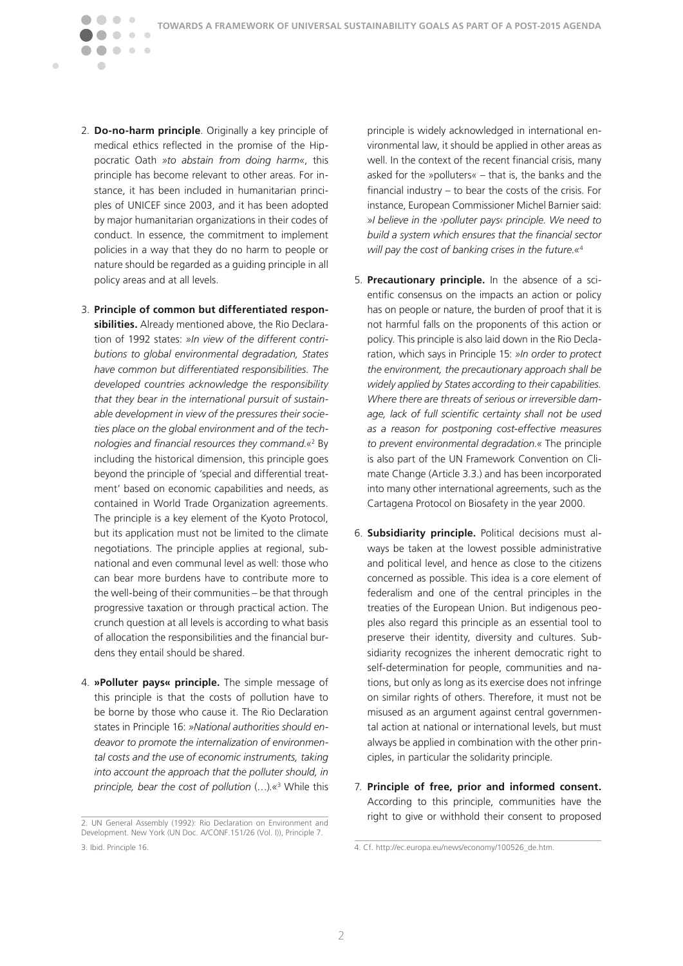2. **Do-no-harm principle**. Originally a key principle of medical ethics reflected in the promise of the Hippocratic Oath *»to abstain from doing harm«*, this principle has become relevant to other areas. For instance, it has been included in humanitarian principles of UNICEF since 2003, and it has been adopted by major humanitarian organizations in their codes of conduct. In essence, the commitment to implement policies in a way that they do no harm to people or nature should be regarded as a guiding principle in all policy areas and at all levels.

 $\bullet\bullet$ 

 $\bullet\bullet\bullet$ 

 $\overline{\phantom{a}}$ 

Ċ

- 3. **Principle of common but differentiated responsibilities.** Already mentioned above, the Rio Declaration of 1992 states: *»In view of the different contributions to global environmental degradation, States have common but differentiated responsibilities. The developed countries acknowledge the responsibility that they bear in the international pursuit of sustainable development in view of the pressures their societies place on the global environment and of the technologies and financial resources they command.*«2 By including the historical dimension, this principle goes beyond the principle of 'special and differential treatment' based on economic capabilities and needs, as contained in World Trade Organization agreements. The principle is a key element of the Kyoto Protocol, but its application must not be limited to the climate negotiations. The principle applies at regional, subnational and even communal level as well: those who can bear more burdens have to contribute more to the well-being of their communities – be that through progressive taxation or through practical action. The crunch question at all levels is according to what basis of allocation the responsibilities and the financial burdens they entail should be shared.
- 4. **»Polluter pays« principle.** The simple message of this principle is that the costs of pollution have to be borne by those who cause it. The Rio Declaration states in Principle 16: *»National authorities should endeavor to promote the internalization of environmental costs and the use of economic instruments, taking into account the approach that the polluter should, in principle, bear the cost of pollution* (…)*.«*<sup>3</sup> While this

principle is widely acknowledged in international environmental law, it should be applied in other areas as well. In the context of the recent financial crisis, many asked for the »polluters« – that is, the banks and the financial industry – to bear the costs of the crisis. For instance, European Commissioner Michel Barnier said: *»I believe in the ›polluter pays‹ principle. We need to build a system which ensures that the financial sector will pay the cost of banking crises in the future.«*<sup>4</sup>

- 5. **Precautionary principle.** In the absence of a scientific consensus on the impacts an action or policy has on people or nature, the burden of proof that it is not harmful falls on the proponents of this action or policy. This principle is also laid down in the Rio Declaration, which says in Principle 15: *»In order to protect the environment, the precautionary approach shall be widely applied by States according to their capabilities. Where there are threats of serious or irreversible damage, lack of full scientific certainty shall not be used as a reason for postponing cost-effective measures to prevent environmental degradation.«* The principle is also part of the UN Framework Convention on Climate Change (Article 3.3.) and has been incorporated into many other international agreements, such as the Cartagena Protocol on Biosafety in the year 2000.
- 6. **Subsidiarity principle.** Political decisions must always be taken at the lowest possible administrative and political level, and hence as close to the citizens concerned as possible. This idea is a core element of federalism and one of the central principles in the treaties of the European Union. But indigenous peoples also regard this principle as an essential tool to preserve their identity, diversity and cultures. Subsidiarity recognizes the inherent democratic right to self-determination for people, communities and nations, but only as long as its exercise does not infringe on similar rights of others. Therefore, it must not be misused as an argument against central governmental action at national or international levels, but must always be applied in combination with the other principles, in particular the solidarity principle.
- 7. **Principle of free, prior and informed consent.** According to this principle, communities have the right to give or withhold their consent to proposed

<sup>2.</sup> UN General Assembly (1992): Rio Declaration on Environment and Development. New York (UN Doc. A/CONF.151/26 (Vol. I)), Principle 7. 3. Ibid. Principle 16.

<sup>4.</sup> Cf. http://ec.europa.eu/news/economy/100526\_de.htm.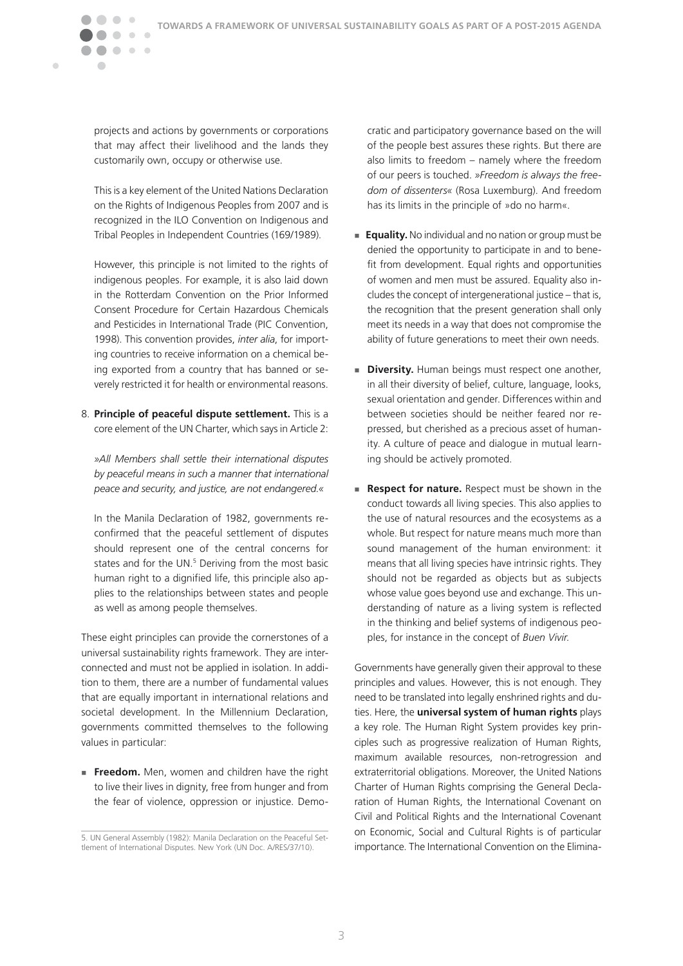projects and actions by governments or corporations that may affect their livelihood and the lands they customarily own, occupy or otherwise use.

 $\bullet\bullet$ 

 $\overline{\phantom{a}}$ 

 $\blacksquare$ 

 $\bullet\hspace{0.1cm} \bullet\hspace{0.1cm}\bullet\hspace{0.1cm} \bullet$ 

 This is a key element of the United Nations Declaration on the Rights of Indigenous Peoples from 2007 and is recognized in the ILO Convention on Indigenous and Tribal Peoples in Independent Countries (169/1989).

 However, this principle is not limited to the rights of indigenous peoples. For example, it is also laid down in the Rotterdam Convention on the Prior Informed Consent Procedure for Certain Hazardous Chemicals and Pesticides in International Trade (PIC Convention, 1998). This convention provides, *inter alia*, for importing countries to receive information on a chemical being exported from a country that has banned or severely restricted it for health or environmental reasons.

8. **Principle of peaceful dispute settlement.** This is a core element of the UN Charter, which says in Article 2:

 *»All Members shall settle their international disputes by peaceful means in such a manner that international peace and security, and justice, are not endangered.«*

 In the Manila Declaration of 1982, governments reconfirmed that the peaceful settlement of disputes should represent one of the central concerns for states and for the UN.<sup>5</sup> Deriving from the most basic human right to a dignified life, this principle also applies to the relationships between states and people as well as among people themselves.

These eight principles can provide the cornerstones of a universal sustainability rights framework. They are interconnected and must not be applied in isolation. In addition to them, there are a number of fundamental values that are equally important in international relations and societal development. In the Millennium Declaration, governments committed themselves to the following values in particular:

**Freedom.** Men, women and children have the right to live their lives in dignity, free from hunger and from the fear of violence, oppression or injustice. Democratic and participatory governance based on the will of the people best assures these rights. But there are also limits to freedom – namely where the freedom of our peers is touched. *»Freedom is always the freedom of dissenters«* (Rosa Luxemburg). And freedom has its limits in the principle of »do no harm«.

- **Equality.** No individual and no nation or group must be denied the opportunity to participate in and to benefit from development. Equal rights and opportunities of women and men must be assured. Equality also includes the concept of intergenerational justice – that is, the recognition that the present generation shall only meet its needs in a way that does not compromise the ability of future generations to meet their own needs.
- **Diversity.** Human beings must respect one another, in all their diversity of belief, culture, language, looks, sexual orientation and gender. Differences within and between societies should be neither feared nor repressed, but cherished as a precious asset of humanity. A culture of peace and dialogue in mutual learning should be actively promoted.
- **Respect for nature.** Respect must be shown in the conduct towards all living species. This also applies to the use of natural resources and the ecosystems as a whole. But respect for nature means much more than sound management of the human environment: it means that all living species have intrinsic rights. They should not be regarded as objects but as subjects whose value goes beyond use and exchange. This understanding of nature as a living system is reflected in the thinking and belief systems of indigenous peoples, for instance in the concept of *Buen Vivir*.

Governments have generally given their approval to these principles and values. However, this is not enough. They need to be translated into legally enshrined rights and duties. Here, the **universal system of human rights** plays a key role. The Human Right System provides key principles such as progressive realization of Human Rights, maximum available resources, non-retrogression and extraterritorial obligations. Moreover, the United Nations Charter of Human Rights comprising the General Declaration of Human Rights, the International Covenant on Civil and Political Rights and the International Covenant on Economic, Social and Cultural Rights is of particular importance. The International Convention on the Elimina-

<sup>5.</sup> UN General Assembly (1982): Manila Declaration on the Peaceful Settlement of International Disputes. New York (UN Doc. A/RES/37/10).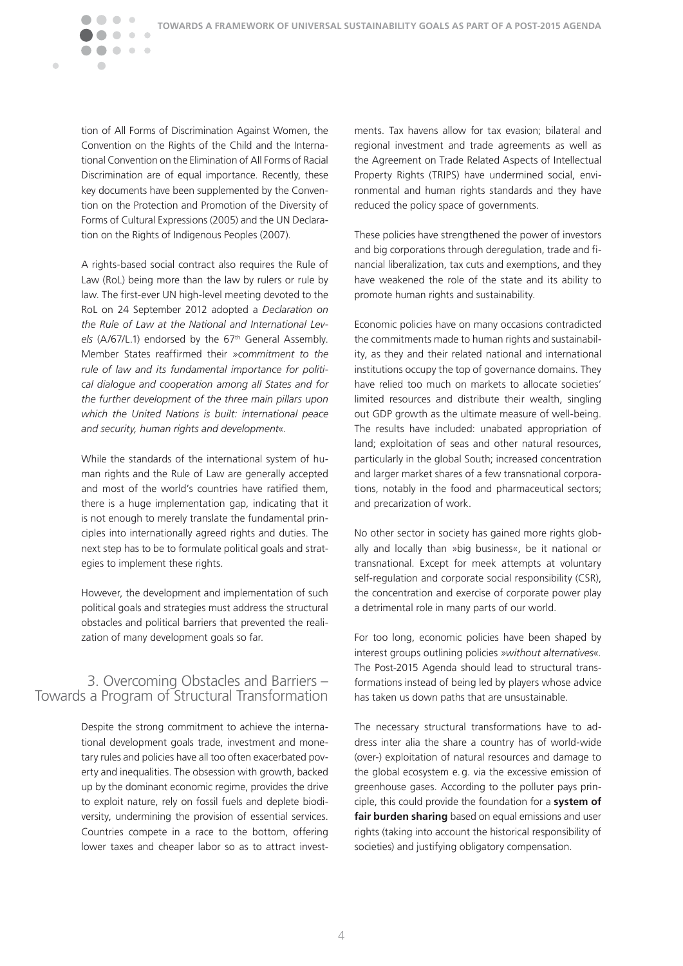tion of All Forms of Discrimination Against Women, the Convention on the Rights of the Child and the International Convention on the Elimination of All Forms of Racial Discrimination are of equal importance. Recently, these key documents have been supplemented by the Convention on the Protection and Promotion of the Diversity of Forms of Cultural Expressions (2005) and the UN Declaration on the Rights of Indigenous Peoples (2007).

 $\bullet\bullet$ 

Ċ

 $\bullet\hspace{0.4mm}\bullet\hspace{0.4mm}\bullet\hspace{0.4mm}\bullet$ 

A rights-based social contract also requires the Rule of Law (RoL) being more than the law by rulers or rule by law. The first-ever UN high-level meeting devoted to the RoL on 24 September 2012 adopted a *Declaration on the Rule of Law at the National and International Lev*els (A/67/L.1) endorsed by the 67<sup>th</sup> General Assembly. Member States reaffirmed their *»commitment to the rule of law and its fundamental importance for political dialogue and cooperation among all States and for the further development of the three main pillars upon which the United Nations is built: international peace and security, human rights and development«.*

While the standards of the international system of human rights and the Rule of Law are generally accepted and most of the world's countries have ratified them, there is a huge implementation gap, indicating that it is not enough to merely translate the fundamental principles into internationally agreed rights and duties. The next step has to be to formulate political goals and strategies to implement these rights.

However, the development and implementation of such political goals and strategies must address the structural obstacles and political barriers that prevented the realization of many development goals so far.

### 3. Overcoming Obstacles and Barriers – Towards a Program of Structural Transformation

Despite the strong commitment to achieve the international development goals trade, investment and monetary rules and policies have all too often exacerbated poverty and inequalities. The obsession with growth, backed up by the dominant economic regime, provides the drive to exploit nature, rely on fossil fuels and deplete biodiversity, undermining the provision of essential services. Countries compete in a race to the bottom, offering lower taxes and cheaper labor so as to attract investments. Tax havens allow for tax evasion; bilateral and regional investment and trade agreements as well as the Agreement on Trade Related Aspects of Intellectual Property Rights (TRIPS) have undermined social, environmental and human rights standards and they have reduced the policy space of governments.

These policies have strengthened the power of investors and big corporations through deregulation, trade and financial liberalization, tax cuts and exemptions, and they have weakened the role of the state and its ability to promote human rights and sustainability.

Economic policies have on many occasions contradicted the commitments made to human rights and sustainability, as they and their related national and international institutions occupy the top of governance domains. They have relied too much on markets to allocate societies' limited resources and distribute their wealth, singling out GDP growth as the ultimate measure of well-being. The results have included: unabated appropriation of land; exploitation of seas and other natural resources, particularly in the global South; increased concentration and larger market shares of a few transnational corporations, notably in the food and pharmaceutical sectors; and precarization of work.

No other sector in society has gained more rights globally and locally than »big business«, be it national or transnational. Except for meek attempts at voluntary self-regulation and corporate social responsibility (CSR), the concentration and exercise of corporate power play a detrimental role in many parts of our world.

For too long, economic policies have been shaped by interest groups outlining policies *»without alternatives«.*  The Post-2015 Agenda should lead to structural transformations instead of being led by players whose advice has taken us down paths that are unsustainable.

The necessary structural transformations have to address inter alia the share a country has of world-wide (over-) exploitation of natural resources and damage to the global ecosystem e.g. via the excessive emission of greenhouse gases. According to the polluter pays principle, this could provide the foundation for a **system of fair burden sharing** based on equal emissions and user rights (taking into account the historical responsibility of societies) and justifying obligatory compensation.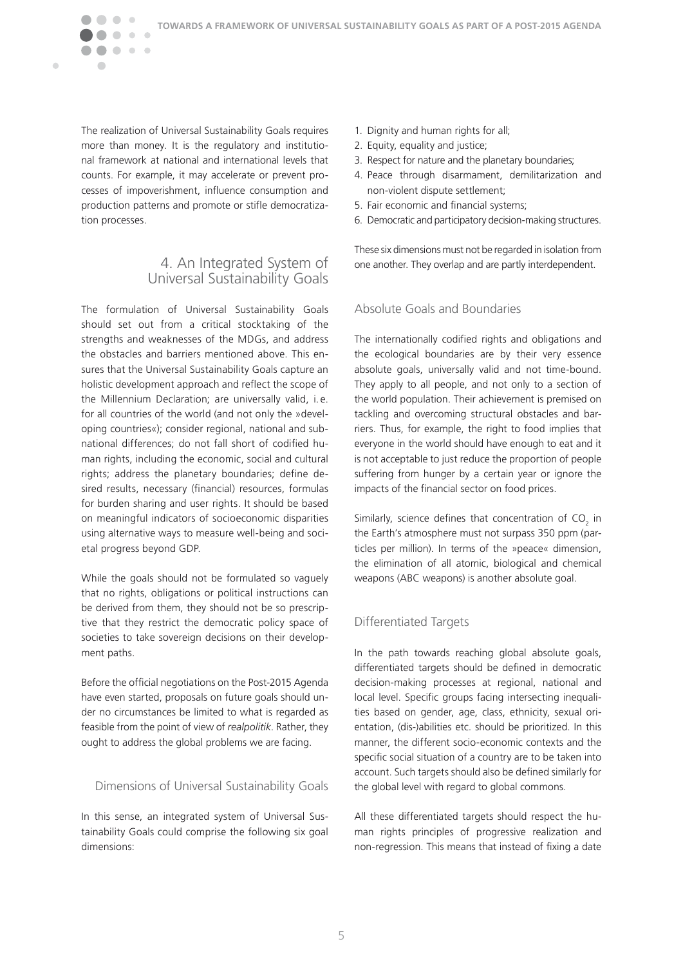The realization of Universal Sustainability Goals requires more than money. It is the regulatory and institutional framework at national and international levels that counts. For example, it may accelerate or prevent processes of impoverishment, influence consumption and production patterns and promote or stifle democratization processes.

 $\bullet\hspace{0.1cm} \bullet\hspace{0.1cm}\bullet\hspace{0.1cm} \bullet$ 

Ċ

### 4. An Integrated System of Universal Sustainability Goals

The formulation of Universal Sustainability Goals should set out from a critical stocktaking of the strengths and weaknesses of the MDGs, and address the obstacles and barriers mentioned above. This ensures that the Universal Sustainability Goals capture an holistic development approach and reflect the scope of the Millennium Declaration; are universally valid, i. e. for all countries of the world (and not only the »developing countries«); consider regional, national and subnational differences; do not fall short of codified human rights, including the economic, social and cultural rights; address the planetary boundaries; define desired results, necessary (financial) resources, formulas for burden sharing and user rights. It should be based on meaningful indicators of socioeconomic disparities using alternative ways to measure well-being and societal progress beyond GDP.

While the goals should not be formulated so vaguely that no rights, obligations or political instructions can be derived from them, they should not be so prescriptive that they restrict the democratic policy space of societies to take sovereign decisions on their development paths.

Before the official negotiations on the Post-2015 Agenda have even started, proposals on future goals should under no circumstances be limited to what is regarded as feasible from the point of view of *realpolitik*. Rather, they ought to address the global problems we are facing.

#### Dimensions of Universal Sustainability Goals

In this sense, an integrated system of Universal Sustainability Goals could comprise the following six goal dimensions:

- 1. Dignity and human rights for all;
- 2. Equity, equality and justice;
- 3. Respect for nature and the planetary boundaries;
- 4. Peace through disarmament, demilitarization and non-violent dispute settlement;
- 5. Fair economic and financial systems;
- 6. Democratic and participatory decision-making structures.

These six dimensions must not be regarded in isolation from one another. They overlap and are partly interdependent.

#### Absolute Goals and Boundaries

The internationally codified rights and obligations and the ecological boundaries are by their very essence absolute goals, universally valid and not time-bound. They apply to all people, and not only to a section of the world population. Their achievement is premised on tackling and overcoming structural obstacles and barriers. Thus, for example, the right to food implies that everyone in the world should have enough to eat and it is not acceptable to just reduce the proportion of people suffering from hunger by a certain year or ignore the impacts of the financial sector on food prices.

Similarly, science defines that concentration of  $CO<sub>2</sub>$  in the Earth's atmosphere must not surpass 350 ppm (particles per million). In terms of the »peace« dimension, the elimination of all atomic, biological and chemical weapons (ABC weapons) is another absolute goal.

### Differentiated Targets

In the path towards reaching global absolute goals, differentiated targets should be defined in democratic decision-making processes at regional, national and local level. Specific groups facing intersecting inequalities based on gender, age, class, ethnicity, sexual orientation, (dis-)abilities etc. should be prioritized. In this manner, the different socio-economic contexts and the specific social situation of a country are to be taken into account. Such targets should also be defined similarly for the global level with regard to global commons.

All these differentiated targets should respect the human rights principles of progressive realization and non-regression. This means that instead of fixing a date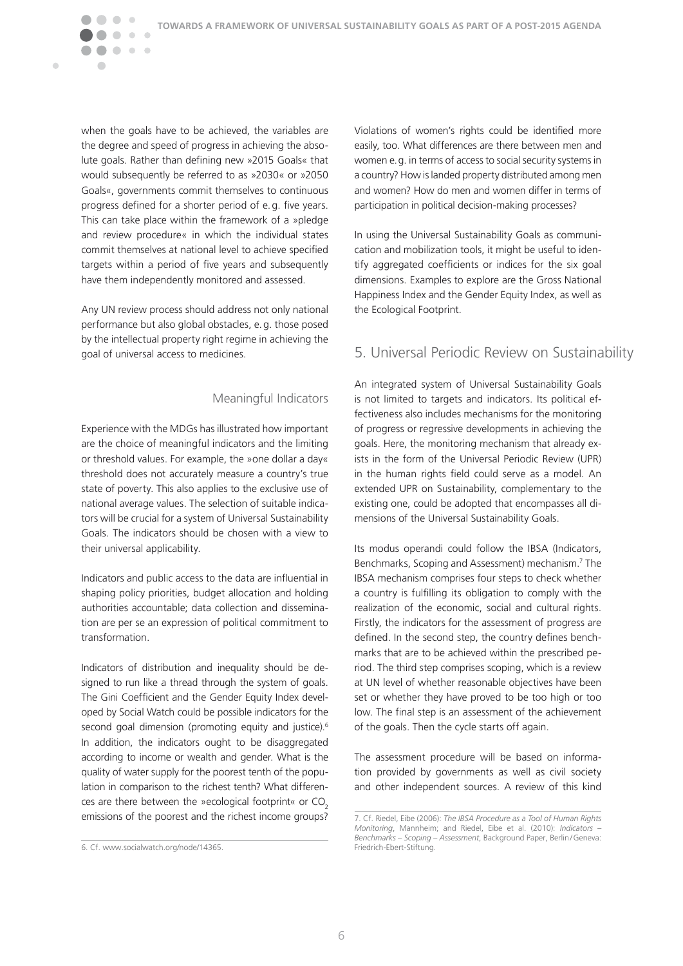when the goals have to be achieved, the variables are the degree and speed of progress in achieving the absolute goals. Rather than defining new »2015 Goals« that would subsequently be referred to as »2030« or »2050 Goals«, governments commit themselves to continuous progress defined for a shorter period of e.g. five years. This can take place within the framework of a »pledge and review procedure« in which the individual states commit themselves at national level to achieve specified targets within a period of five years and subsequently have them independently monitored and assessed.

 $\bullet\bullet$ 

 $\overline{\phantom{a}}$ 

 $\blacksquare$ 

 $\bullet\hspace{0.4mm}\bullet\hspace{0.4mm}\bullet\hspace{0.4mm}\bullet$ 

Any UN review process should address not only national performance but also global obstacles, e.g. those posed by the intellectual property right regime in achieving the goal of universal access to medicines.

### Meaningful Indicators

Experience with the MDGs has illustrated how important are the choice of meaningful indicators and the limiting or threshold values. For example, the »one dollar a day« threshold does not accurately measure a country's true state of poverty. This also applies to the exclusive use of national average values. The selection of suitable indicators will be crucial for a system of Universal Sustainability Goals. The indicators should be chosen with a view to their universal applicability.

Indicators and public access to the data are influential in shaping policy priorities, budget allocation and holding authorities accountable; data collection and dissemination are per se an expression of political commitment to transformation.

Indicators of distribution and inequality should be designed to run like a thread through the system of goals. The Gini Coefficient and the Gender Equity Index developed by Social Watch could be possible indicators for the second goal dimension (promoting equity and justice).<sup>6</sup> In addition, the indicators ought to be disaggregated according to income or wealth and gender. What is the quality of water supply for the poorest tenth of the population in comparison to the richest tenth? What differences are there between the »ecological footprint« or CO<sub>2</sub> emissions of the poorest and the richest income groups?

Violations of women's rights could be identified more easily, too. What differences are there between men and women e.g. in terms of access to social security systems in a country? How is landed property distributed among men and women? How do men and women differ in terms of participation in political decision-making processes?

In using the Universal Sustainability Goals as communication and mobilization tools, it might be useful to identify aggregated coefficients or indices for the six goal dimensions. Examples to explore are the Gross National Happiness Index and the Gender Equity Index, as well as the Ecological Footprint.

### 5. Universal Periodic Review on Sustainability

An integrated system of Universal Sustainability Goals is not limited to targets and indicators. Its political effectiveness also includes mechanisms for the monitoring of progress or regressive developments in achieving the goals. Here, the monitoring mechanism that already exists in the form of the Universal Periodic Review (UPR) in the human rights field could serve as a model. An extended UPR on Sustainability, complementary to the existing one, could be adopted that encompasses all dimensions of the Universal Sustainability Goals.

Its modus operandi could follow the IBSA (Indicators, Benchmarks, Scoping and Assessment) mechanism.7 The IBSA mechanism comprises four steps to check whether a country is fulfilling its obligation to comply with the realization of the economic, social and cultural rights. Firstly, the indicators for the assessment of progress are defined. In the second step, the country defines benchmarks that are to be achieved within the prescribed period. The third step comprises scoping, which is a review at UN level of whether reasonable objectives have been set or whether they have proved to be too high or too low. The final step is an assessment of the achievement of the goals. Then the cycle starts off again.

The assessment procedure will be based on information provided by governments as well as civil society and other independent sources. A review of this kind

<sup>6.</sup> Cf. www.socialwatch.org/node/14365.

<sup>7.</sup> Cf. Riedel, Eibe (2006): *The IBSA Procedure as a Tool of Human Rights Monitoring*, Mannheim; and Riedel, Eibe et al. (2010): *Indicators – Benchmarks – Scoping – Assessment*, Background Paper, Berlin/Geneva: Friedrich-Ebert-Stiftung.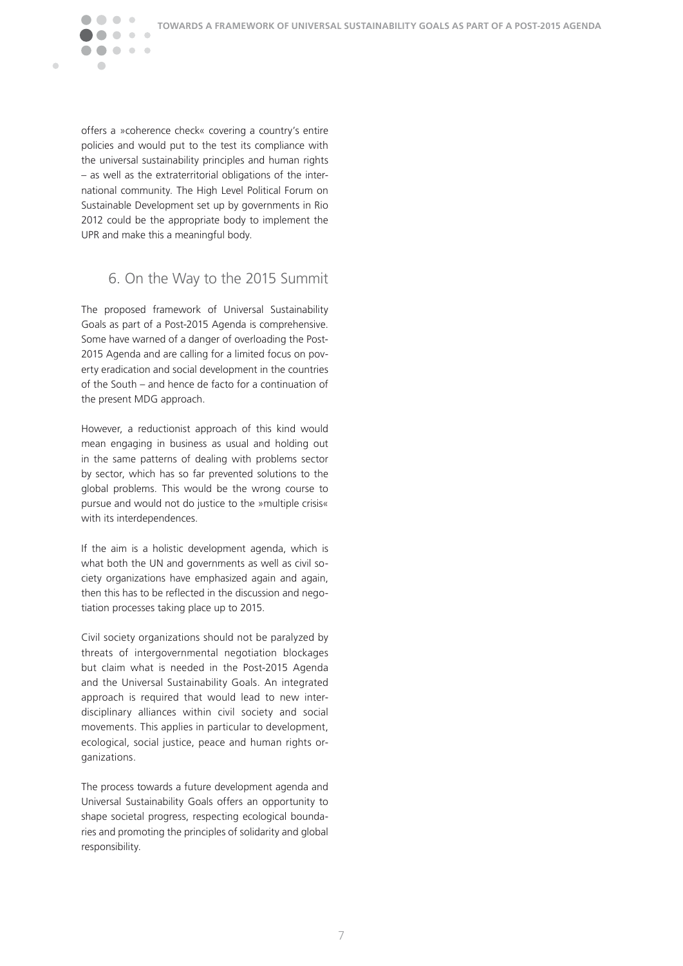offers a »coherence check« covering a country's entire policies and would put to the test its compliance with the universal sustainability principles and human rights – as well as the extraterritorial obligations of the international community. The High Level Political Forum on Sustainable Development set up by governments in Rio 2012 could be the appropriate body to implement the UPR and make this a meaningful body.

 $\bullet$ 

 $\bullet\hspace{0.1cm} \bullet\hspace{0.1cm}\bullet\hspace{0.1cm} \bullet$ 

 $\overline{\phantom{a}}$ 

 $\blacksquare$ 

### 6. On the Way to the 2015 Summit

The proposed framework of Universal Sustainability Goals as part of a Post-2015 Agenda is comprehensive. Some have warned of a danger of overloading the Post-2015 Agenda and are calling for a limited focus on poverty eradication and social development in the countries of the South – and hence de facto for a continuation of the present MDG approach.

However, a reductionist approach of this kind would mean engaging in business as usual and holding out in the same patterns of dealing with problems sector by sector, which has so far prevented solutions to the global problems. This would be the wrong course to pursue and would not do justice to the »multiple crisis« with its interdependences.

If the aim is a holistic development agenda, which is what both the UN and governments as well as civil society organizations have emphasized again and again, then this has to be reflected in the discussion and negotiation processes taking place up to 2015.

Civil society organizations should not be paralyzed by threats of intergovernmental negotiation blockages but claim what is needed in the Post-2015 Agenda and the Universal Sustainability Goals. An integrated approach is required that would lead to new interdisciplinary alliances within civil society and social movements. This applies in particular to development, ecological, social justice, peace and human rights organizations.

The process towards a future development agenda and Universal Sustainability Goals offers an opportunity to shape societal progress, respecting ecological boundaries and promoting the principles of solidarity and global responsibility.